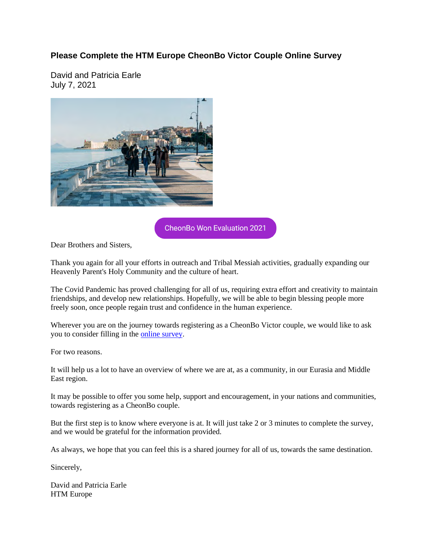## **Please Complete the HTM Europe CheonBo Victor Couple Online Survey**

David and Patricia Earle July 7, 2021



**CheonBo Won Evaluation 2021** 

Dear Brothers and Sisters,

Thank you again for all your efforts in outreach and Tribal Messiah activities, gradually expanding our Heavenly Parent's Holy Community and the culture of heart.

The Covid Pandemic has proved challenging for all of us, requiring extra effort and creativity to maintain friendships, and develop new relationships. Hopefully, we will be able to begin blessing people more freely soon, once people regain trust and confidence in the human experience.

Wherever you are on the journey towards registering as a CheonBo Victor couple, we would like to ask you to consider filling in the online survey.

For two reasons.

It will help us a lot to have an overview of where we are at, as a community, in our Eurasia and Middle East region.

It may be possible to offer you some help, support and encouragement, in your nations and communities, towards registering as a CheonBo couple.

But the first step is to know where everyone is at. It will just take 2 or 3 minutes to complete the survey, and we would be grateful for the information provided.

As always, we hope that you can feel this is a shared journey for all of us, towards the same destination.

Sincerely,

David and Patricia Earle HTM Europe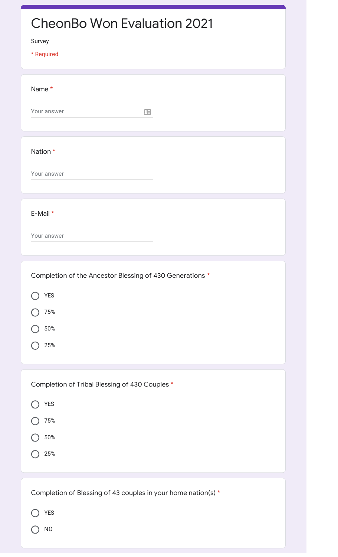| <b>CheonBo Won Evaluation 2021</b><br>Survey<br>* Required                                     |
|------------------------------------------------------------------------------------------------|
| Name *<br>Your answer<br>田                                                                     |
| Nation *<br>Your answer                                                                        |
| E-Mail *<br>Your answer                                                                        |
| Completion of the Ancestor Blessing of 430 Generations *<br><b>YES</b><br>75%<br>$50\%$<br>25% |
| Completion of Tribal Blessing of 430 Couples *<br><b>YES</b><br>75%<br>$50\%$<br>25%           |
| Completion of Blessing of 43 couples in your home nation(s) *<br><b>YES</b><br><b>NO</b>       |